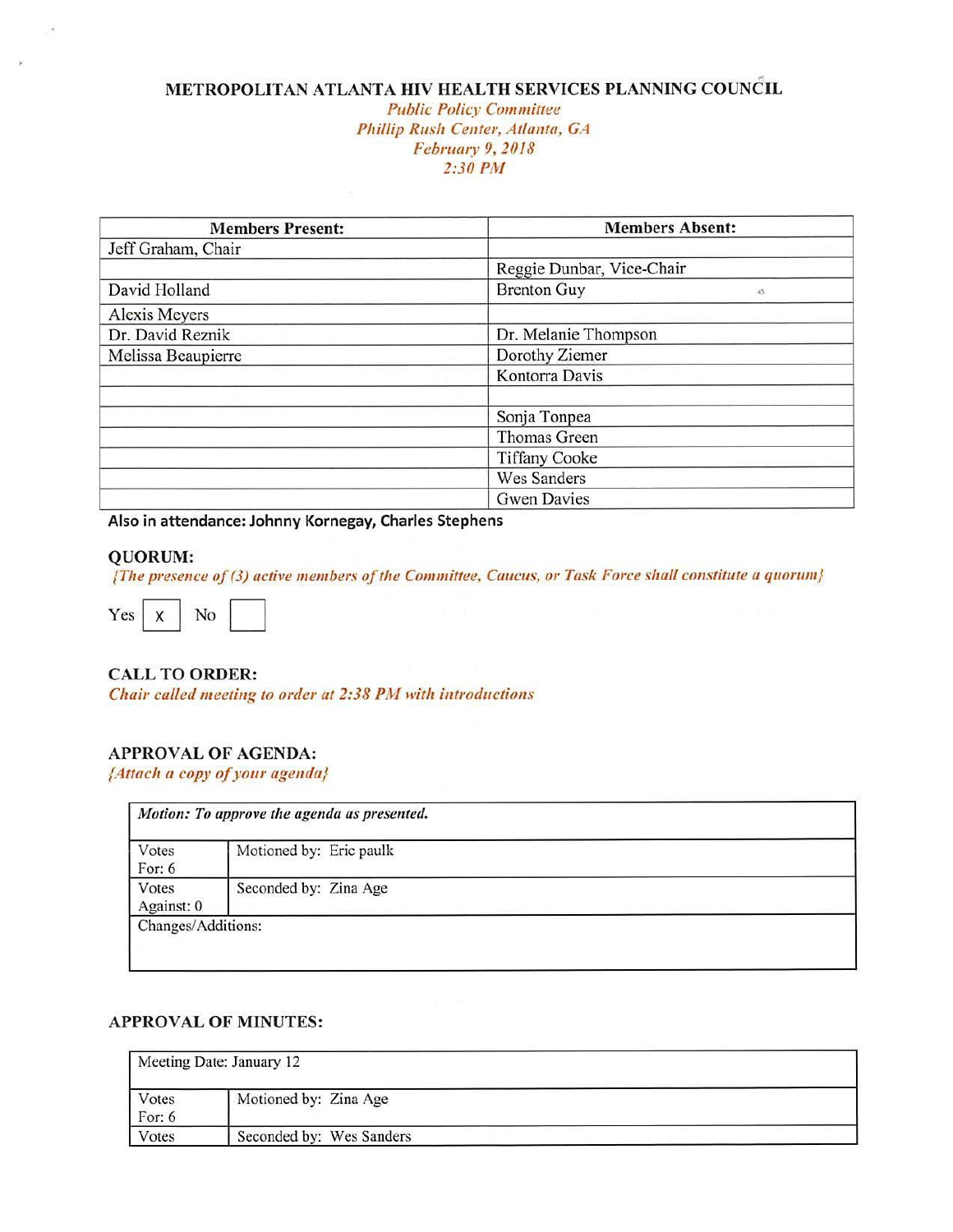#### ,. **METRO POLIT AN ATLANTA HIV HEAL TH SERVICES PLANNING COUNCIL**

#### *Public Policy Committee Phillip Rush Center, Atlanta, GA*  February *9, 2018 2:30 P/vl*

| <b>Members Present:</b> | <b>Members Absent:</b>    |
|-------------------------|---------------------------|
| Jeff Graham, Chair      |                           |
|                         | Reggie Dunbar, Vice-Chair |
| David Holland           | <b>Brenton Guy</b><br>45. |
| Alexis Meyers           |                           |
| Dr. David Reznik        | Dr. Melanie Thompson      |
| Melissa Beaupierre      | Dorothy Ziemer            |
|                         | Kontorra Davis            |
|                         | Sonja Tonpea              |
|                         | Thomas Green              |
|                         | <b>Tiffany Cooke</b>      |
|                         | <b>Wes Sanders</b>        |
|                         | <b>Gwen Davies</b>        |

**Also in attendance: Johnny Kornegay, Charles Stephens** 

#### **QUORUM:**

**(The presence of (3) active members of the** *Committee***,** *Caucus, or Task Force shall constitute a quorum}***<br>Yes**  $\begin{bmatrix} x \\ x \end{bmatrix}$  **No**  $\begin{bmatrix} \end{bmatrix}$ 



#### **CALL TO ORDER:**

Chair *called meeting to order at 2:38 PN/ with introductions* 

#### **APPROVAL OF AGENDA:**

*{Attach a copy of your agenda}* 

| Votes<br>For: $6$   | Motioned by: Eric paulk |  |
|---------------------|-------------------------|--|
| Votes<br>Against: 0 | Seconded by: Zina Age   |  |

#### **APPROVAL OF MINUTES:**

| Meeting Date: January 12 |                          |  |  |
|--------------------------|--------------------------|--|--|
| Votes<br>For: $6$        | Motioned by: Zina Age    |  |  |
| Votes                    | Seconded by: Wes Sanders |  |  |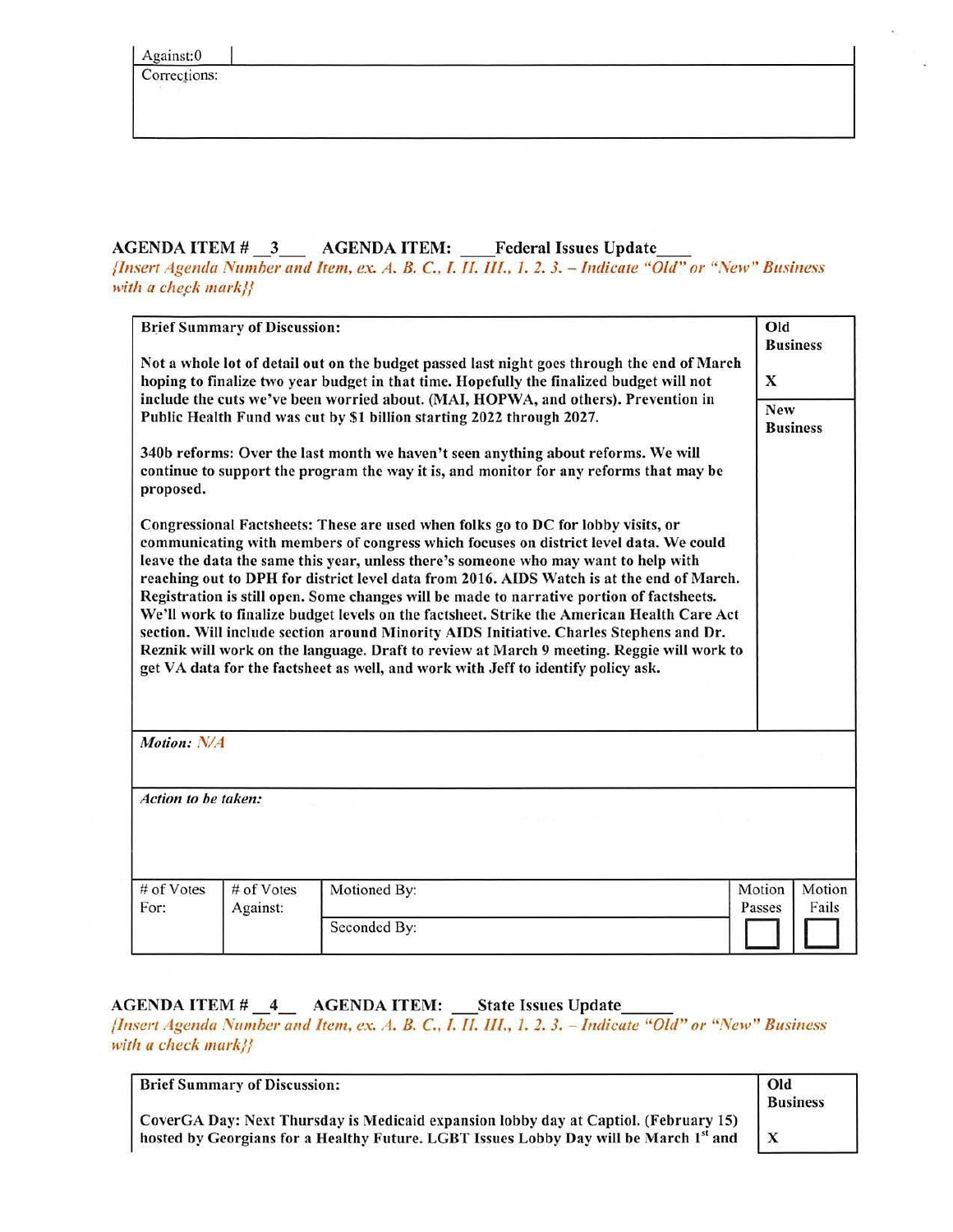Corrections:

# AGENDA ITEM # \_3\_\_ AGENDA ITEM: \_\_Federal Issues Update

*{Insert Agenda Number and Item, ex. A. B.* C., *1. II. Ill., 1. 2. 3. -* Indicate "Old" *or "New" Business*  with *a* check mark}}

|                                                                                                                                                                                         | <b>Brief Summary of Discussion:</b> |                                                                                                                                                                                                                                                                                                                                                                                                                                                                                                                                                                                                                                                                                                                                                                                                                                        | Old<br><b>Business</b>              |
|-----------------------------------------------------------------------------------------------------------------------------------------------------------------------------------------|-------------------------------------|----------------------------------------------------------------------------------------------------------------------------------------------------------------------------------------------------------------------------------------------------------------------------------------------------------------------------------------------------------------------------------------------------------------------------------------------------------------------------------------------------------------------------------------------------------------------------------------------------------------------------------------------------------------------------------------------------------------------------------------------------------------------------------------------------------------------------------------|-------------------------------------|
| Not a whole lot of detail out on the budget passed last night goes through the end of March<br>hoping to finalize two year budget in that time. Hopefully the finalized budget will not |                                     |                                                                                                                                                                                                                                                                                                                                                                                                                                                                                                                                                                                                                                                                                                                                                                                                                                        |                                     |
|                                                                                                                                                                                         |                                     | include the cuts we've been worried about. (MAI, HOPWA, and others). Prevention in<br>Public Health Fund was cut by \$1 billion starting 2022 through 2027.                                                                                                                                                                                                                                                                                                                                                                                                                                                                                                                                                                                                                                                                            | <b>New</b><br><b>Business</b>       |
| proposed.                                                                                                                                                                               |                                     | 340b reforms: Over the last month we haven't seen anything about reforms. We will<br>continue to support the program the way it is, and monitor for any reforms that may be                                                                                                                                                                                                                                                                                                                                                                                                                                                                                                                                                                                                                                                            |                                     |
|                                                                                                                                                                                         |                                     | Congressional Factsheets: These are used when folks go to DC for lobby visits, or<br>communicating with members of congress which focuses on district level data. We could<br>leave the data the same this year, unless there's someone who may want to help with<br>reaching out to DPH for district level data from 2016. AIDS Watch is at the end of March.<br>Registration is still open. Some changes will be made to narrative portion of factsheets.<br>We'll work to finalize budget levels on the factsheet. Strike the American Health Care Act<br>section. Will include section around Minority AIDS Initiative. Charles Stephens and Dr.<br>Reznik will work on the language. Draft to review at March 9 meeting. Reggie will work to<br>get VA data for the factsheet as well, and work with Jeff to identify policy ask. |                                     |
| Motion: N/A                                                                                                                                                                             |                                     |                                                                                                                                                                                                                                                                                                                                                                                                                                                                                                                                                                                                                                                                                                                                                                                                                                        |                                     |
| Action to be taken:                                                                                                                                                                     |                                     |                                                                                                                                                                                                                                                                                                                                                                                                                                                                                                                                                                                                                                                                                                                                                                                                                                        |                                     |
|                                                                                                                                                                                         |                                     |                                                                                                                                                                                                                                                                                                                                                                                                                                                                                                                                                                                                                                                                                                                                                                                                                                        |                                     |
|                                                                                                                                                                                         |                                     |                                                                                                                                                                                                                                                                                                                                                                                                                                                                                                                                                                                                                                                                                                                                                                                                                                        |                                     |
| # of Votes<br>For:                                                                                                                                                                      | # of Votes<br>Against:              | Motioned By:                                                                                                                                                                                                                                                                                                                                                                                                                                                                                                                                                                                                                                                                                                                                                                                                                           | Motion<br>Motion<br>Fails<br>Passes |

### AGENDA ITEM # 4 AGENDA ITEM: State Issues Update

*{Insert Agenda Number and Item. ex. A. B.* C., *I. II. Ill .. ]. 2. 3. - Indicate "Old" or "New" Business with a* check *mark}}* 

| <b>Brief Summary of Discussion:</b> |  |
|-------------------------------------|--|
|                                     |  |

CoverGA Day: Next Thursday is Medicaid expansion lobby day at Captiol. (February 15) hosted by Georgians for a Healthy Future. LGBT Issues Lobby Day will be March *<sup>1</sup> st* and

| Old             |  |
|-----------------|--|
| <b>Business</b> |  |
|                 |  |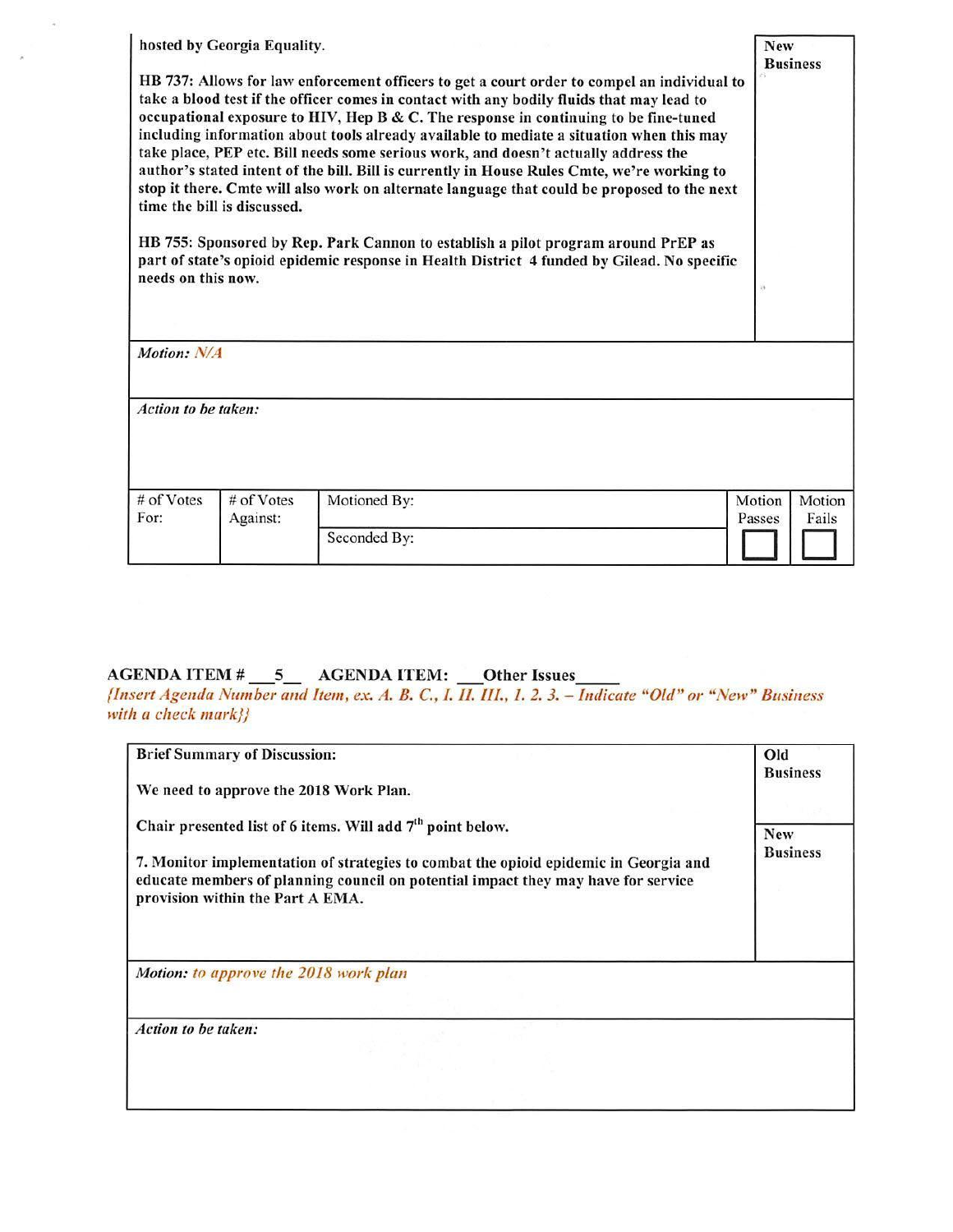| needs on this now.  | hosted by Georgia Equality.<br>time the bill is discussed. | HB 737: Allows for law enforcement officers to get a court order to compel an individual to<br>take a blood test if the officer comes in contact with any bodily fluids that may lead to<br>occupational exposure to HIV, Hep B & C. The response in continuing to be fine-tuned<br>including information about tools already available to mediate a situation when this may<br>take place, PEP etc. Bill needs some serious work, and doesn't actually address the<br>author's stated intent of the bill. Bill is currently in House Rules Cmte, we're working to<br>stop it there. Cmte will also work on alternate language that could be proposed to the next<br>HB 755: Sponsored by Rep. Park Cannon to establish a pilot program around PrEP as<br>part of state's opioid epidemic response in Health District 4 funded by Gilead. No specific | <b>New</b><br>79 | <b>Business</b> |
|---------------------|------------------------------------------------------------|-------------------------------------------------------------------------------------------------------------------------------------------------------------------------------------------------------------------------------------------------------------------------------------------------------------------------------------------------------------------------------------------------------------------------------------------------------------------------------------------------------------------------------------------------------------------------------------------------------------------------------------------------------------------------------------------------------------------------------------------------------------------------------------------------------------------------------------------------------|------------------|-----------------|
| Motion: N/A         |                                                            |                                                                                                                                                                                                                                                                                                                                                                                                                                                                                                                                                                                                                                                                                                                                                                                                                                                       |                  |                 |
| Action to be taken: |                                                            |                                                                                                                                                                                                                                                                                                                                                                                                                                                                                                                                                                                                                                                                                                                                                                                                                                                       |                  |                 |
| # of Votes<br>For:  | # of Votes<br>Against:                                     | Motioned By:                                                                                                                                                                                                                                                                                                                                                                                                                                                                                                                                                                                                                                                                                                                                                                                                                                          | Motion<br>Passes | Motion<br>Fails |
|                     |                                                            | Seconded By:                                                                                                                                                                                                                                                                                                                                                                                                                                                                                                                                                                                                                                                                                                                                                                                                                                          |                  |                 |

# AGENDA ITEM  $\#$  5 AGENDA ITEM:  $\frac{ }{ }$ Other Issues

 $\alpha$ 

 $\hat{\mathbf{x}}$ 

*{Insert Agenda Number and Item, ex. A. B.* C.. *I. II. ill .. I. 2. 3. -* Indicate *"Old" or* "New" *Business*  with a check mark}}

| <b>Brief Summary of Discussion:</b>                                                                                                                                                                                                                                                     |                 | Old                           |  |
|-----------------------------------------------------------------------------------------------------------------------------------------------------------------------------------------------------------------------------------------------------------------------------------------|-----------------|-------------------------------|--|
| We need to approve the 2018 Work Plan.                                                                                                                                                                                                                                                  | <b>Business</b> |                               |  |
| Chair presented list of 6 items. Will add 7 <sup>th</sup> point below.<br>7. Monitor implementation of strategies to combat the opioid epidemic in Georgia and<br>educate members of planning council on potential impact they may have for service<br>provision within the Part A EMA. |                 | <b>New</b><br><b>Business</b> |  |
| Motion: to approve the 2018 work plan                                                                                                                                                                                                                                                   |                 |                               |  |
|                                                                                                                                                                                                                                                                                         |                 |                               |  |
| Action to be taken:                                                                                                                                                                                                                                                                     |                 |                               |  |
|                                                                                                                                                                                                                                                                                         |                 |                               |  |
|                                                                                                                                                                                                                                                                                         |                 |                               |  |